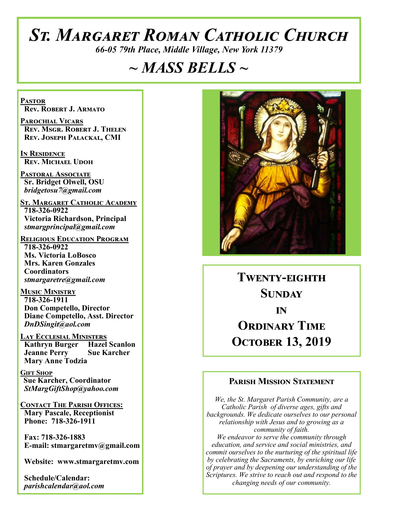# *St. Margaret Roman Catholic Church*

*66-05 79th Place, Middle Village, New York 11379*

## *~ MASS BELLS ~*

**Pastor Rev. Robert J. Armato**

**Parochial Vicars Rev. Msgr. Robert J. Thelen Rev. Joseph Palackal, CMI**

**In Residence Rev. Michael Udoh**

**Pastoral Associate Sr. Bridget Olwell, OSU**  *bridgetosu7@gmail.com*

**St. Margaret Catholic Academy 718-326-0922 Victoria Richardson, Principal**  *stmargprincipal@gmail.com*

**Religious Education Program 718-326-0922 Ms. Victoria LoBosco Mrs. Karen Gonzales Coordinators** *stmargaretre@gmail.com*

**Music Ministry 718-326-1911 Don Competello, Director Diane Competello, Asst. Director** *DnDSingit@aol.com*

**Lay Ecclesial Ministers Kathryn Burger Hazel Scanlon**<br>**Jeanne Perry Sue Karcher Jeanne Perry Mary Anne Todzia**

**Gift Shop Sue Karcher, Coordinator** *StMargGiftShop@yahoo.com*

**Contact The Parish Offices: Mary Pascale, Receptionist Phone: 718-326-1911** 

 **Fax: 718-326-1883 E-mail: stmargaretmv@gmail.com**

 **Website: www.stmargaretmv.com**

 **Schedule/Calendar:** *parishcalendar@aol.com* 



**Twenty-eighth Sunday in ORDINARY TIME October 13, 2019** 

#### **Parish Mission Statement**

*We, the St. Margaret Parish Community, are a Catholic Parish of diverse ages, gifts and backgrounds. We dedicate ourselves to our personal relationship with Jesus and to growing as a community of faith. We endeavor to serve the community through education, and service and social ministries, and commit ourselves to the nurturing of the spiritual life by celebrating the Sacraments, by enriching our life of prayer and by deepening our understanding of the Scriptures. We strive to reach out and respond to the changing needs of our community.*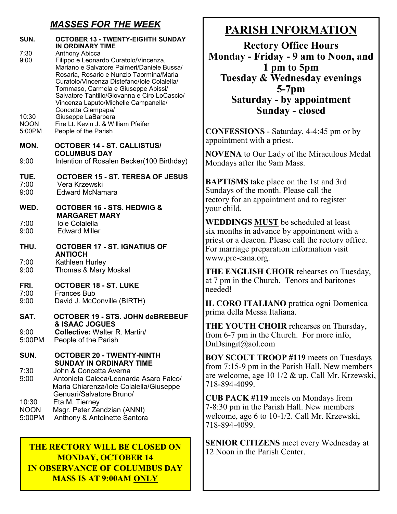### *MASSES FOR THE WEEK*

| SUN.<br>7:30<br>9:00           | <b>OCTOBER 13 - TWENTY-EIGHTH SUNDAY</b><br>IN ORDINARY TIME<br><b>Anthony Abicca</b><br>Filippo e Leonardo Curatolo/Vincenza,<br>Mariano e Salvatore Palmeri/Daniele Bussa/                                                                                                                                                      |
|--------------------------------|-----------------------------------------------------------------------------------------------------------------------------------------------------------------------------------------------------------------------------------------------------------------------------------------------------------------------------------|
| 10:30<br><b>NOON</b><br>5:00PM | Rosaria, Rosario e Nunzio Taormina/Maria<br>Curatolo/Vincenza Distefano/Iole Colalella/<br>Tommaso, Carmela e Giuseppe Abissi/<br>Salvatore Tantillo/Giovanna e Ciro LoCascio/<br>Vincenza Laputo/Michelle Campanella/<br>Concetta Giampapa/<br>Giuseppe LaBarbera<br>Fire Lt. Kevin J. & William Pfeifer<br>People of the Parish |
| MON.                           | <b>OCTOBER 14 - ST. CALLISTUS/</b><br><b>COLUMBUS DAY</b>                                                                                                                                                                                                                                                                         |
| 9:00                           | Intention of Rosalen Becker(100 Birthday)                                                                                                                                                                                                                                                                                         |
| TUE.<br>7:00<br>9:00           | <b>OCTOBER 15 - ST. TERESA OF JESUS</b><br>Vera Krzewski<br><b>Edward McNamara</b>                                                                                                                                                                                                                                                |
| WED.                           | <b>OCTOBER 16 - STS. HEDWIG &amp;</b><br><b>MARGARET MARY</b>                                                                                                                                                                                                                                                                     |
| 7:00<br>9:00                   | <b>Iole Colalella</b><br><b>Edward Miller</b>                                                                                                                                                                                                                                                                                     |
| THU.                           | <b>OCTOBER 17 - ST. IGNATIUS OF</b><br><b>ANTIOCH</b>                                                                                                                                                                                                                                                                             |
| 7:00<br>9:00                   | Kathleen Hurley<br>Thomas & Mary Moskal                                                                                                                                                                                                                                                                                           |
| FRI.<br>7:00                   | <b>OCTOBER 18 - ST. LUKE</b><br><b>Frances Bub</b>                                                                                                                                                                                                                                                                                |
| 9:00                           | David J. McConville (BIRTH)                                                                                                                                                                                                                                                                                                       |
| SAT.                           | <b>OCTOBER 19 - STS. JOHN deBREBEUF</b><br><b>&amp; ISAAC JOGUES</b>                                                                                                                                                                                                                                                              |
| 9:00<br>5:00PM                 | <b>Collective: Walter R. Martin/</b><br>People of the Parish                                                                                                                                                                                                                                                                      |
| SUN.                           | <b>OCTOBER 20 - TWENTY-NINTH</b><br><b>SUNDAY IN ORDINARY TIME</b>                                                                                                                                                                                                                                                                |
| 7:30<br>9:00                   | John & Concetta Averna<br>Antonieta Caleca/Leonarda Asaro Falco/<br>Maria Chiarenza/Iole Colalella/Giuseppe                                                                                                                                                                                                                       |
| 10:30<br><b>NOON</b><br>5:00PM | Genuari/Salvatore Bruno/<br>Eta M. Tierney<br>Msgr. Peter Zendzian (ANNI)<br>Anthony & Antoinette Santora                                                                                                                                                                                                                         |

### **THE RECTORY WILL BE CLOSED ON** 2 Noon in the Parish Center. **MONDAY, OCTOBER 14 IN OBSERVANCE OF COLUMBUS DAY MASS IS AT 9:00AM ONLY**

## **PARISH INFORMATION**

**Rectory Office Hours Monday - Friday - 9 am to Noon, and 1 pm to 5pm Tuesday & Wednesday evenings 5-7pm Saturday - by appointment Sunday - closed**

**CONFESSIONS** - Saturday, 4-4:45 pm or by appointment with a priest.

**NOVENA** to Our Lady of the Miraculous Medal Mondays after the 9am Mass.

**BAPTISMS** take place on the 1st and 3rd Sundays of the month. Please call the rectory for an appointment and to register your child.

**WEDDINGS MUST** be scheduled at least six months in advance by appointment with a priest or a deacon. Please call the rectory office. For marriage preparation information visit www.pre-cana.org.

**THE ENGLISH CHOIR** rehearses on Tuesday, at 7 pm in the Church. Tenors and baritones needed!

**IL CORO ITALIANO** prattica ogni Domenica prima della Messa Italiana.

**THE YOUTH CHOIR** rehearses on Thursday, from 6-7 pm in the Church. For more info, DnDsingit@aol.com

**BOY SCOUT TROOP #119** meets on Tuesdays from 7:15-9 pm in the Parish Hall. New members are welcome, age 10 1/2 & up. Call Mr. Krzewski, 718-894-4099.

**CUB PACK #119** meets on Mondays from 7-8:30 pm in the Parish Hall. New members welcome, age 6 to 10-1/2. Call Mr. Krzewski, 718-894-4099.

**SENIOR CITIZENS** meet every Wednesday at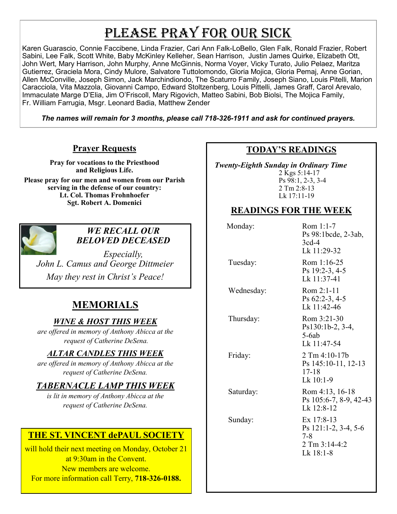## PLEASE PRAY FOR OUR SICK

Karen Guarascio, Connie Faccibene, Linda Frazier, Cari Ann Falk-LoBello, Glen Falk, Ronald Frazier, Robert Sabini, Lee Falk, Scott White, Baby McKinley Kelleher, Sean Harrison, Justin James Quirke, Elizabeth Ott, John Wert, Mary Harrison, John Murphy, Anne McGinnis, Norma Voyer, Vicky Turato, Julio Pelaez, Maritza Gutierrez, Graciela Mora, Cindy Mulore, Salvatore Tuttolomondo, Gloria Mojica, Gloria Pemaj, Anne Gorian, Allen McConville, Joseph Simon, Jack Marchindiondo, The Scaturro Family, Joseph Siano, Louis Pitelli, Marion Caracciola, Vita Mazzola, Giovanni Campo, Edward Stoltzenberg, Louis Pittelli, James Graff, Carol Arevalo, Immaculate Marge D'Elia, Jim O'Friscoll, Mary Rigovich, Matteo Sabini, Bob Biolsi, The Mojica Family, Fr. William Farrugia, Msgr. Leonard Badia, Matthew Zender

*The names will remain for 3 months, please call 718-326-1911 and ask for continued prayers.*

#### **Prayer Requests**

**Pray for vocations to the Priesthood and Religious Life.** 

**Please pray for our men and women from our Parish serving in the defense of our country: Lt. Col. Thomas Frohnhoefer Sgt. Robert A. Domenici** 



#### *WE RECALL OUR BELOVED DECEASED*

*Especially, John L. Camus and George Dittmeier May they rest in Christ's Peace!*

### **MEMORIALS**

#### *WINE & HOST THIS WEEK*

*are offered in memory of Anthony Abicca at the request of Catherine DeSena.*

#### *ALTAR CANDLES THIS WEEK*

*are offered in memory of Anthony Abicca at the request of Catherine DeSena.*

### *TABERNACLE LAMP THIS WEEK*

*is lit in memory of Anthony Abicca at the request of Catherine DeSena.* 

### **THE ST. VINCENT dePAUL SOCIETY**

will hold their next meeting on Monday, October 21 at 9:30am in the Convent. New members are welcome. For more information call Terry, **718-326-0188.**

#### **TODAY'S READINGS**

 *Twenty-Eighth Sunday in Ordinary Time*  2 Kgs 5:14-17 Ps 98:1, 2-3, 3-4

2 Tm 2:8-13 Lk 17:11-19

#### **READINGS FOR THE WEEK**

| Monday:    | Rom 1:1-7<br>Ps 98:1bcde, 2-3ab,<br>$3cd-4$<br>Lk 11:29-32                |
|------------|---------------------------------------------------------------------------|
| Tuesday:   | Rom 1:16-25<br>Ps 19:2-3, 4-5<br>Lk 11:37-41                              |
| Wednesday: | $Rom 2:1-11$<br>Ps $62:2-3, 4-5$<br>Lk 11:42-46                           |
| Thursday:  | Rom 3:21-30<br>Ps130:1b-2, 3-4,<br>$5-6ab$<br>Lk 11:47-54                 |
| Friday:    | $2$ Tm 4:10-17b<br>Ps 145:10-11, 12-13<br>17-18<br>Lk $10:1-9$            |
| Saturday:  | Rom 4:13, 16-18<br>Ps 105:6-7, 8-9, 42-43<br>Lk 12:8-12                   |
| Sunday:    | Ex 17:8-13<br>Ps 121:1-2, 3-4, 5-6<br>7-8<br>2 Tm 3:14-4:2<br>$Lk$ 18:1-8 |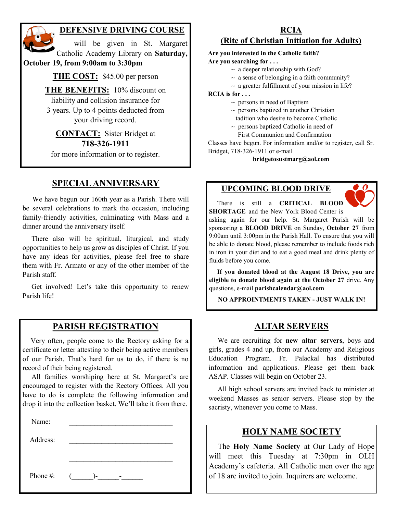

#### **DEFENSIVE DRIVING COURSE**

 will be given in St. Margaret Catholic Academy Library on **Saturday, October 19, from 9:00am to 3:30pm**

**THE COST:** \$45.00 per person

**THE BENEFITS:** 10% discount on liability and collision insurance for 3 years. Up to 4 points deducted from your driving record.

**CONTACT:** Sister Bridget at **718-326-1911**

for more information or to register.

#### **SPECIAL ANNIVERSARY**

 We have begun our 160th year as a Parish. There will be several celebrations to mark the occasion, including family-friendly activities, culminating with Mass and a dinner around the anniversary itself.

 There also will be spiritual, liturgical, and study opportunities to help us grow as disciples of Christ. If you have any ideas for activities, please feel free to share them with Fr. Armato or any of the other member of the Parish staff.

 Get involved! Let's take this opportunity to renew Parish life!

#### **PARISH REGISTRATION**

 Very often, people come to the Rectory asking for a certificate or letter attesting to their being active members of our Parish. That's hard for us to do, if there is no record of their being registered.

 All families worshiping here at St. Margaret's are encouraged to register with the Rectory Offices. All you have to do is complete the following information and drop it into the collection basket. We'll take it from there.

Name:

Address:

 $\mathcal{L}_\text{max}$ Phone #:  $(\_\_\_\_\_\$ 

## **RCIA**

### **(Rite of Christian Initiation for Adults)**

**Are you interested in the Catholic faith?**

- **Are you searching for . . .**
	- $\sim$  a deeper relationship with God?
	- $\sim$  a sense of belonging in a faith community?
	- $\sim$  a greater fulfillment of your mission in life?

**RCIA is for . . .**

- $\sim$  persons in need of Baptism
- $\sim$  persons baptized in another Christian
- tadition who desire to become Catholic
- $\sim$  persons baptized Catholic in need of
- First Communion and Confirmation

Classes have begun. For information and/or to register, call Sr. Bridget, 718-326-1911 or e-mail

#### **bridgetosustmarg@aol.com**

#### **UPCOMING BLOOD DRIVE**



 There is still a **CRITICAL BLOOD SHORTAGE** and the New York Blood Center is

asking again for our help. St. Margaret Parish will be sponsoring a **BLOOD DRIVE** on Sunday, **October 27** from 9:00am until 3:00pm in the Parish Hall. To ensure that you will be able to donate blood, please remember to include foods rich in iron in your diet and to eat a good meal and drink plenty of fluids before you come.

 **If you donated blood at the August 18 Drive, you are eligible to donate blood again at the October 27** drive. Any questions, e-mail **parishcalendar@aol.com**

**NO APPROINTMENTS TAKEN - JUST WALK IN!**

#### **ALTAR SERVERS**

 We are recruiting for **new altar servers**, boys and girls, grades 4 and up, from our Academy and Religious Education Program. Fr. Palackal has distributed information and applications. Please get them back ASAP. Classes will begin on October 23.

 All high school servers are invited back to minister at weekend Masses as senior servers. Please stop by the sacristy, whenever you come to Mass.

#### **HOLY NAME SOCIETY**

 The **Holy Name Society** at Our Lady of Hope will meet this Tuesday at 7:30pm in OLH Academy's cafeteria. All Catholic men over the age of 18 are invited to join. Inquirers are welcome.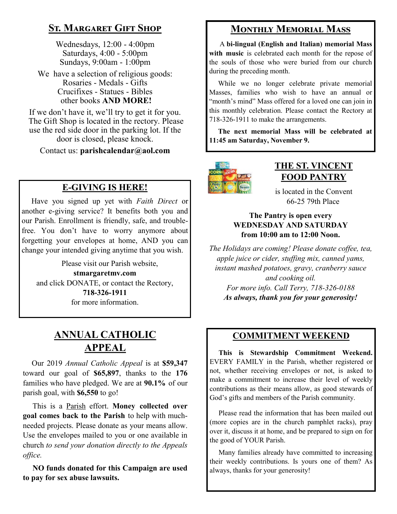### **St. Margaret Gift Shop**

Wednesdays, 12:00 - 4:00pm Saturdays, 4:00 - 5:00pm Sundays, 9:00am - 1:00pm

We have a selection of religious goods: Rosaries - Medals - Gifts Crucifixes - Statues - Bibles other books **AND MORE!**

If we don't have it, we'll try to get it for you. The Gift Shop is located in the rectory. Please use the red side door in the parking lot. If the door is closed, please knock.

Contact us: **parishcalendar@aol.com**

### **E-GIVING IS HERE!**

 Have you signed up yet with *Faith Direct* or another e-giving service? It benefits both you and our Parish. Enrollment is friendly, safe, and troublefree. You don't have to worry anymore about forgetting your envelopes at home, AND you can change your intended giving anytime that you wish.

 Please visit our Parish website, **stmargaretmv.com** and click DONATE, or contact the Rectory, **718-326-1911** for more information.

### **ANNUAL CATHOLIC APPEAL**

 Our 2019 *Annual Catholic Appeal* is at **\$59,347** toward our goal of **\$65,897**, thanks to the **176** families who have pledged. We are at **90.1%** of our parish goal, with **\$6,550** to go!

 This is a Parish effort. **Money collected over goal comes back to the Parish** to help with muchneeded projects. Please donate as your means allow. Use the envelopes mailed to you or one available in church *to send your donation directly to the Appeals office.*

 **NO funds donated for this Campaign are used to pay for sex abuse lawsuits.** 

### **Monthly Memorial Mass**

 A **bi-lingual (English and Italian) memorial Mass**  with music is celebrated each month for the repose of the souls of those who were buried from our church during the preceding month.

While we no longer celebrate private memorial Masses, families who wish to have an annual or "month's mind" Mass offered for a loved one can join in this monthly celebration. Please contact the Rectory at 718-326-1911 to make the arrangements.

 **The next memorial Mass will be celebrated at 11:45 am Saturday, November 9.** 



### **THE ST. VINCENT FOOD PANTRY**

is located in the Convent 66-25 79th Place

#### **The Pantry is open every WEDNESDAY AND SATURDAY from 10:00 am to 12:00 Noon.**

*The Holidays are coming! Please donate coffee, tea, apple juice or cider, stuffing mix, canned yams, instant mashed potatoes, gravy, cranberry sauce and cooking oil. For more info. Call Terry, 718-326-0188*

*As always, thank you for your generosity!*

### **COMMITMENT WEEKEND**

 **This is Stewardship Commitment Weekend.**  EVERY FAMILY in the Parish, whether registered or not, whether receiving envelopes or not, is asked to make a commitment to increase their level of weekly contributions as their means allow, as good stewards of God's gifts and members of the Parish community.

 Please read the information that has been mailed out (more copies are in the church pamphlet racks), pray over it, discuss it at home, and be prepared to sign on for the good of YOUR Parish.

 Many families already have committed to increasing their weekly contributions. Is yours one of them? As always, thanks for your generosity!